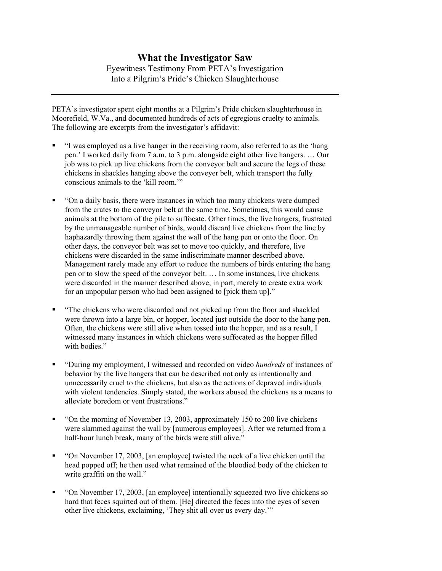## What the Investigator Saw Eyewitness Testimony From PETA's Investigation Into a Pilgrim's Pride's Chicken Slaughterhouse

PETA's investigator spent eight months at a Pilgrim's Pride chicken slaughterhouse in Moorefield, W.Va., and documented hundreds of acts of egregious cruelty to animals. The following are excerpts from the investigator's affidavit:

- "I was employed as a live hanger in the receiving room, also referred to as the 'hang pen.' I worked daily from 7 a.m. to 3 p.m. alongside eight other live hangers. … Our job was to pick up live chickens from the conveyor belt and secure the legs of these chickens in shackles hanging above the conveyer belt, which transport the fully conscious animals to the 'kill room.'"
- "On a daily basis, there were instances in which too many chickens were dumped from the crates to the conveyor belt at the same time. Sometimes, this would cause animals at the bottom of the pile to suffocate. Other times, the live hangers, frustrated by the unmanageable number of birds, would discard live chickens from the line by haphazardly throwing them against the wall of the hang pen or onto the floor. On other days, the conveyor belt was set to move too quickly, and therefore, live chickens were discarded in the same indiscriminate manner described above. Management rarely made any effort to reduce the numbers of birds entering the hang pen or to slow the speed of the conveyor belt. … In some instances, live chickens were discarded in the manner described above, in part, merely to create extra work for an unpopular person who had been assigned to [pick them up]."
- "The chickens who were discarded and not picked up from the floor and shackled were thrown into a large bin, or hopper, located just outside the door to the hang pen. Often, the chickens were still alive when tossed into the hopper, and as a result, I witnessed many instances in which chickens were suffocated as the hopper filled with bodies."
- "During my employment, I witnessed and recorded on video *hundreds* of instances of behavior by the live hangers that can be described not only as intentionally and unnecessarily cruel to the chickens, but also as the actions of depraved individuals with violent tendencies. Simply stated, the workers abused the chickens as a means to alleviate boredom or vent frustrations."
- "On the morning of November 13, 2003, approximately 150 to 200 live chickens were slammed against the wall by [numerous employees]. After we returned from a half-hour lunch break, many of the birds were still alive."
- "On November 17, 2003, [an employee] twisted the neck of a live chicken until the head popped off; he then used what remained of the bloodied body of the chicken to write graffiti on the wall."
- "On November 17, 2003, [an employee] intentionally squeezed two live chickens so hard that feces squirted out of them. [He] directed the feces into the eyes of seven other live chickens, exclaiming, 'They shit all over us every day.'"